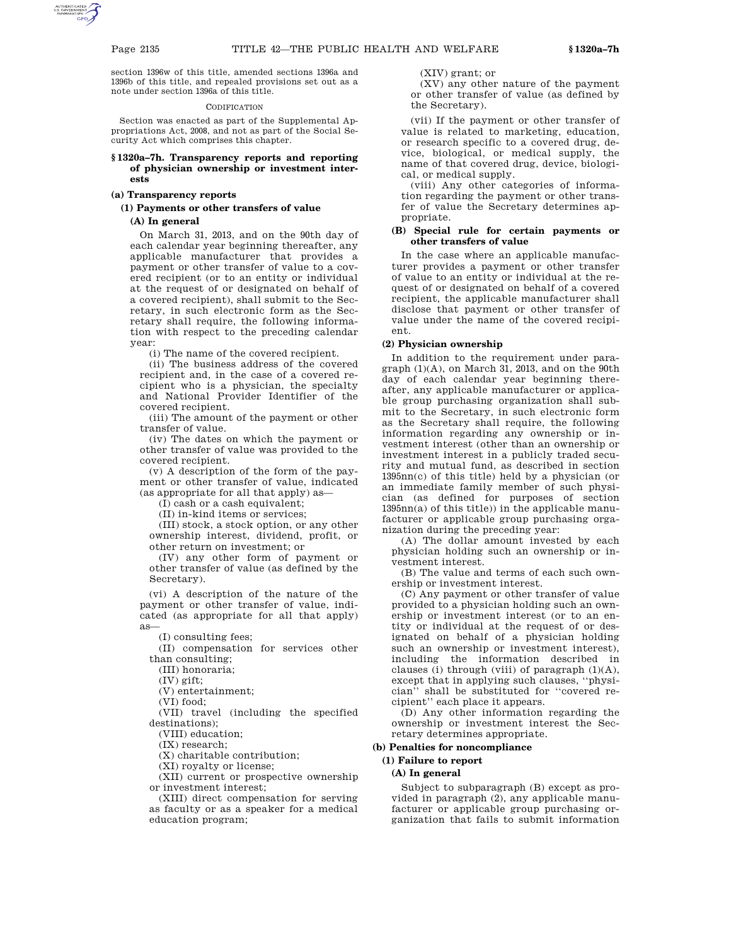section 1396w of this title, amended sections 1396a and 1396b of this title, and repealed provisions set out as a note under section 1396a of this title.

#### **CODIFICATION**

Section was enacted as part of the Supplemental Appropriations Act, 2008, and not as part of the Social Security Act which comprises this chapter.

#### **§ 1320a–7h. Transparency reports and reporting of physician ownership or investment interests**

#### **(a) Transparency reports**

**(1) Payments or other transfers of value**

# **(A) In general**

On March 31, 2013, and on the 90th day of each calendar year beginning thereafter, any applicable manufacturer that provides a payment or other transfer of value to a covered recipient (or to an entity or individual at the request of or designated on behalf of a covered recipient), shall submit to the Secretary, in such electronic form as the Secretary shall require, the following information with respect to the preceding calendar year:

(i) The name of the covered recipient.

(ii) The business address of the covered recipient and, in the case of a covered recipient who is a physician, the specialty and National Provider Identifier of the covered recipient.

(iii) The amount of the payment or other transfer of value.

(iv) The dates on which the payment or other transfer of value was provided to the covered recipient.

(v) A description of the form of the payment or other transfer of value, indicated (as appropriate for all that apply) as—

(I) cash or a cash equivalent;

(II) in-kind items or services;

(III) stock, a stock option, or any other ownership interest, dividend, profit, or other return on investment; or

(IV) any other form of payment or other transfer of value (as defined by the Secretary).

(vi) A description of the nature of the payment or other transfer of value, indicated (as appropriate for all that apply) as—

(I) consulting fees;

(II) compensation for services other than consulting;

(III) honoraria;

(IV) gift;

(V) entertainment;

(VI) food;

(VII) travel (including the specified destinations);

(VIII) education;

(IX) research;

(X) charitable contribution;

(XI) royalty or license;

(XII) current or prospective ownership or investment interest;

(XIII) direct compensation for serving as faculty or as a speaker for a medical education program;

(XIV) grant; or

(XV) any other nature of the payment or other transfer of value (as defined by the Secretary).

(vii) If the payment or other transfer of value is related to marketing, education, or research specific to a covered drug, device, biological, or medical supply, the name of that covered drug, device, biological, or medical supply.

(viii) Any other categories of information regarding the payment or other transfer of value the Secretary determines appropriate.

#### **(B) Special rule for certain payments or other transfers of value**

In the case where an applicable manufacturer provides a payment or other transfer of value to an entity or individual at the request of or designated on behalf of a covered recipient, the applicable manufacturer shall disclose that payment or other transfer of value under the name of the covered recipient.

#### **(2) Physician ownership**

In addition to the requirement under paragraph (1)(A), on March 31, 2013, and on the 90th day of each calendar year beginning thereafter, any applicable manufacturer or applicable group purchasing organization shall submit to the Secretary, in such electronic form as the Secretary shall require, the following information regarding any ownership or investment interest (other than an ownership or investment interest in a publicly traded security and mutual fund, as described in section 1395nn(c) of this title) held by a physician (or an immediate family member of such physician (as defined for purposes of section 1395nn(a) of this title)) in the applicable manufacturer or applicable group purchasing organization during the preceding year:

(A) The dollar amount invested by each physician holding such an ownership or investment interest.

(B) The value and terms of each such ownership or investment interest.

(C) Any payment or other transfer of value provided to a physician holding such an ownership or investment interest (or to an entity or individual at the request of or designated on behalf of a physician holding such an ownership or investment interest), including the information described in clauses (i) through (viii) of paragraph  $(1)(A)$ , except that in applying such clauses, ''physician'' shall be substituted for ''covered recipient'' each place it appears.

(D) Any other information regarding the ownership or investment interest the Secretary determines appropriate.

#### **(b) Penalties for noncompliance**

# **(1) Failure to report**

# **(A) In general**

Subject to subparagraph (B) except as provided in paragraph (2), any applicable manufacturer or applicable group purchasing organization that fails to submit information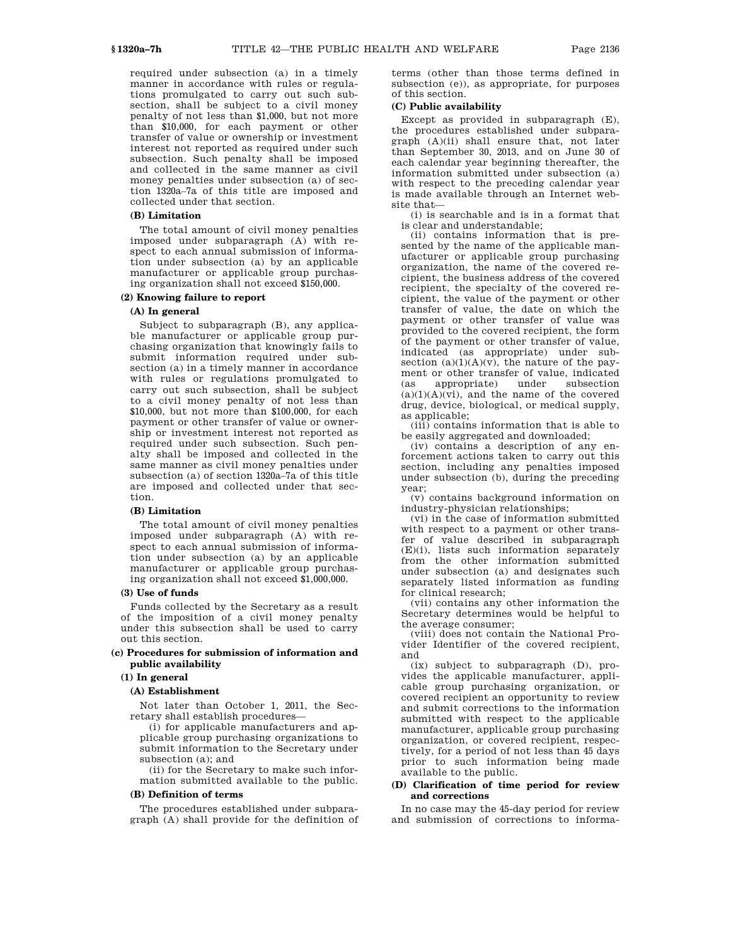required under subsection (a) in a timely manner in accordance with rules or regulations promulgated to carry out such subsection, shall be subject to a civil money penalty of not less than \$1,000, but not more than \$10,000, for each payment or other transfer of value or ownership or investment interest not reported as required under such subsection. Such penalty shall be imposed and collected in the same manner as civil money penalties under subsection (a) of section 1320a–7a of this title are imposed and collected under that section.

#### **(B) Limitation**

The total amount of civil money penalties imposed under subparagraph (A) with respect to each annual submission of information under subsection (a) by an applicable manufacturer or applicable group purchasing organization shall not exceed \$150,000.

#### **(2) Knowing failure to report**

#### **(A) In general**

Subject to subparagraph (B), any applicable manufacturer or applicable group purchasing organization that knowingly fails to submit information required under subsection (a) in a timely manner in accordance with rules or regulations promulgated to carry out such subsection, shall be subject to a civil money penalty of not less than \$10,000, but not more than \$100,000, for each payment or other transfer of value or ownership or investment interest not reported as required under such subsection. Such penalty shall be imposed and collected in the same manner as civil money penalties under subsection (a) of section 1320a–7a of this title are imposed and collected under that section.

#### **(B) Limitation**

The total amount of civil money penalties imposed under subparagraph (A) with respect to each annual submission of information under subsection (a) by an applicable manufacturer or applicable group purchasing organization shall not exceed \$1,000,000.

#### **(3) Use of funds**

Funds collected by the Secretary as a result of the imposition of a civil money penalty under this subsection shall be used to carry out this section.

#### **(c) Procedures for submission of information and public availability**

#### **(1) In general**

#### **(A) Establishment**

Not later than October 1, 2011, the Secretary shall establish procedures—

(i) for applicable manufacturers and applicable group purchasing organizations to submit information to the Secretary under subsection (a); and

(ii) for the Secretary to make such information submitted available to the public.

#### **(B) Definition of terms**

The procedures established under subparagraph (A) shall provide for the definition of terms (other than those terms defined in subsection (e)), as appropriate, for purposes of this section.

#### **(C) Public availability**

Except as provided in subparagraph (E), the procedures established under subparagraph (A)(ii) shall ensure that, not later than September 30, 2013, and on June 30 of each calendar year beginning thereafter, the information submitted under subsection (a) with respect to the preceding calendar year is made available through an Internet website that—

(i) is searchable and is in a format that is clear and understandable;

(ii) contains information that is presented by the name of the applicable manufacturer or applicable group purchasing organization, the name of the covered recipient, the business address of the covered recipient, the specialty of the covered recipient, the value of the payment or other transfer of value, the date on which the payment or other transfer of value was provided to the covered recipient, the form of the payment or other transfer of value, indicated (as appropriate) under subsection  $(a)(1)(A)(v)$ , the nature of the payment or other transfer of value, indicated (as appropriate) under subsection  $(a)(1)(A)(vi)$ , and the name of the covered drug, device, biological, or medical supply, as applicable;

(iii) contains information that is able to be easily aggregated and downloaded;

(iv) contains a description of any enforcement actions taken to carry out this section, including any penalties imposed under subsection (b), during the preceding year;

(v) contains background information on industry-physician relationships;

(vi) in the case of information submitted with respect to a payment or other transfer of value described in subparagraph (E)(i), lists such information separately from the other information submitted under subsection (a) and designates such separately listed information as funding for clinical research;

(vii) contains any other information the Secretary determines would be helpful to the average consumer;

(viii) does not contain the National Provider Identifier of the covered recipient, and

(ix) subject to subparagraph (D), provides the applicable manufacturer, applicable group purchasing organization, or covered recipient an opportunity to review and submit corrections to the information submitted with respect to the applicable manufacturer, applicable group purchasing organization, or covered recipient, respectively, for a period of not less than 45 days prior to such information being made available to the public.

# **(D) Clarification of time period for review and corrections**

In no case may the 45-day period for review and submission of corrections to informa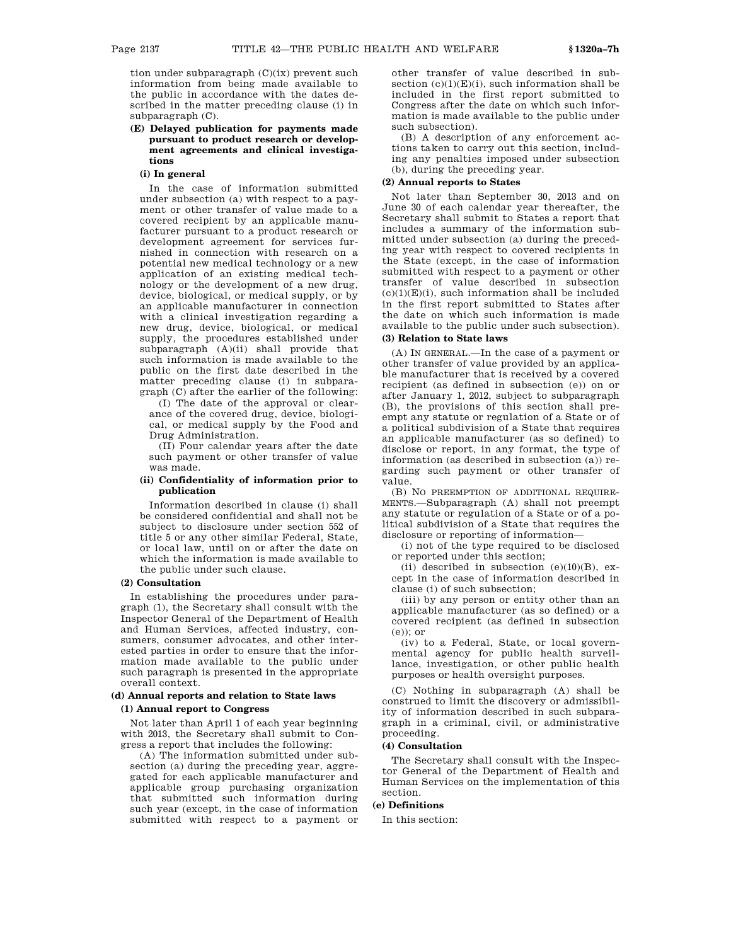tion under subparagraph (C)(ix) prevent such information from being made available to the public in accordance with the dates described in the matter preceding clause (i) in subparagraph (C).

#### **(E) Delayed publication for payments made pursuant to product research or development agreements and clinical investigations**

#### **(i) In general**

In the case of information submitted under subsection (a) with respect to a payment or other transfer of value made to a covered recipient by an applicable manufacturer pursuant to a product research or development agreement for services furnished in connection with research on a potential new medical technology or a new application of an existing medical technology or the development of a new drug, device, biological, or medical supply, or by an applicable manufacturer in connection with a clinical investigation regarding a new drug, device, biological, or medical supply, the procedures established under subparagraph (A)(ii) shall provide that such information is made available to the public on the first date described in the matter preceding clause (i) in subparagraph (C) after the earlier of the following:

(I) The date of the approval or clearance of the covered drug, device, biological, or medical supply by the Food and Drug Administration.

(II) Four calendar years after the date such payment or other transfer of value was made.

# **(ii) Confidentiality of information prior to publication**

Information described in clause (i) shall be considered confidential and shall not be subject to disclosure under section 552 of title 5 or any other similar Federal, State, or local law, until on or after the date on which the information is made available to the public under such clause.

#### **(2) Consultation**

In establishing the procedures under paragraph (1), the Secretary shall consult with the Inspector General of the Department of Health and Human Services, affected industry, consumers, consumer advocates, and other interested parties in order to ensure that the information made available to the public under such paragraph is presented in the appropriate overall context.

# **(d) Annual reports and relation to State laws**

# **(1) Annual report to Congress**

Not later than April 1 of each year beginning with 2013, the Secretary shall submit to Congress a report that includes the following:

(A) The information submitted under subsection (a) during the preceding year, aggregated for each applicable manufacturer and applicable group purchasing organization that submitted such information during such year (except, in the case of information submitted with respect to a payment or other transfer of value described in subsection  $(c)(1)(E)(i)$ , such information shall be included in the first report submitted to Congress after the date on which such information is made available to the public under such subsection).

(B) A description of any enforcement actions taken to carry out this section, including any penalties imposed under subsection (b), during the preceding year.

#### **(2) Annual reports to States**

Not later than September 30, 2013 and on June 30 of each calendar year thereafter, the Secretary shall submit to States a report that includes a summary of the information submitted under subsection (a) during the preceding year with respect to covered recipients in the State (except, in the case of information submitted with respect to a payment or other transfer of value described in subsection  $(c)(1)(E)(i)$ , such information shall be included in the first report submitted to States after the date on which such information is made available to the public under such subsection).

#### **(3) Relation to State laws**

(A) IN GENERAL.—In the case of a payment or other transfer of value provided by an applicable manufacturer that is received by a covered recipient (as defined in subsection (e)) on or after January 1, 2012, subject to subparagraph (B), the provisions of this section shall preempt any statute or regulation of a State or of a political subdivision of a State that requires an applicable manufacturer (as so defined) to disclose or report, in any format, the type of information (as described in subsection (a)) regarding such payment or other transfer of value.

(B) NO PREEMPTION OF ADDITIONAL REQUIRE-MENTS.—Subparagraph (A) shall not preempt any statute or regulation of a State or of a political subdivision of a State that requires the disclosure or reporting of information—

(i) not of the type required to be disclosed or reported under this section;

(ii) described in subsection  $(e)(10)(B)$ , except in the case of information described in clause (i) of such subsection;

(iii) by any person or entity other than an applicable manufacturer (as so defined) or a covered recipient (as defined in subsection (e)); or

(iv) to a Federal, State, or local governmental agency for public health surveillance, investigation, or other public health purposes or health oversight purposes.

(C) Nothing in subparagraph (A) shall be construed to limit the discovery or admissibility of information described in such subparagraph in a criminal, civil, or administrative proceeding.

# **(4) Consultation**

The Secretary shall consult with the Inspector General of the Department of Health and Human Services on the implementation of this section.

#### **(e) Definitions**

In this section: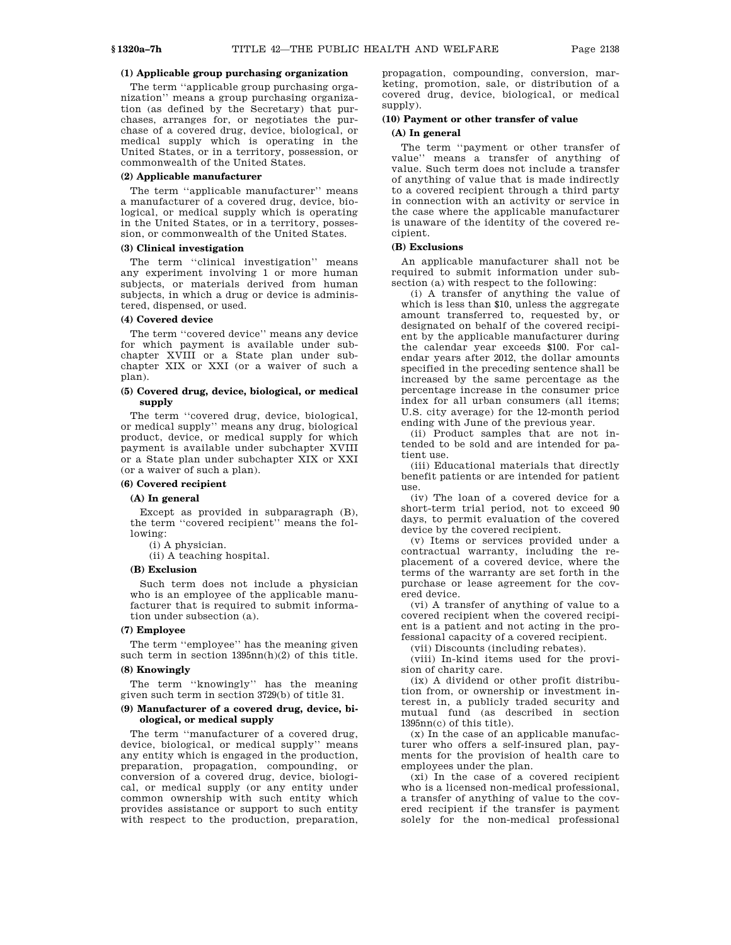### **(1) Applicable group purchasing organization**

The term ''applicable group purchasing organization'' means a group purchasing organization (as defined by the Secretary) that purchases, arranges for, or negotiates the purchase of a covered drug, device, biological, or medical supply which is operating in the United States, or in a territory, possession, or commonwealth of the United States.

### **(2) Applicable manufacturer**

The term ''applicable manufacturer'' means a manufacturer of a covered drug, device, biological, or medical supply which is operating in the United States, or in a territory, possession, or commonwealth of the United States.

#### **(3) Clinical investigation**

The term "clinical investigation" means any experiment involving 1 or more human subjects, or materials derived from human subjects, in which a drug or device is administered, dispensed, or used.

# **(4) Covered device**

The term ''covered device'' means any device for which payment is available under subchapter XVIII or a State plan under subchapter XIX or XXI (or a waiver of such a plan).

#### **(5) Covered drug, device, biological, or medical supply**

The term ''covered drug, device, biological, or medical supply'' means any drug, biological product, device, or medical supply for which payment is available under subchapter XVIII or a State plan under subchapter XIX or XXI (or a waiver of such a plan).

#### **(6) Covered recipient**

#### **(A) In general**

Except as provided in subparagraph (B), the term ''covered recipient'' means the following:

(i) A physician.

(ii) A teaching hospital.

# **(B) Exclusion**

Such term does not include a physician who is an employee of the applicable manufacturer that is required to submit information under subsection (a).

# **(7) Employee**

The term ''employee'' has the meaning given such term in section 1395nn(h)(2) of this title.

#### **(8) Knowingly**

The term ''knowingly'' has the meaning given such term in section 3729(b) of title 31.

#### **(9) Manufacturer of a covered drug, device, biological, or medical supply**

The term ''manufacturer of a covered drug, device, biological, or medical supply'' means any entity which is engaged in the production, preparation, propagation, compounding, or conversion of a covered drug, device, biological, or medical supply (or any entity under common ownership with such entity which provides assistance or support to such entity with respect to the production, preparation, propagation, compounding, conversion, marketing, promotion, sale, or distribution of a covered drug, device, biological, or medical supply).

# **(10) Payment or other transfer of value**

# **(A) In general**

The term ''payment or other transfer of value'' means a transfer of anything of value. Such term does not include a transfer of anything of value that is made indirectly to a covered recipient through a third party in connection with an activity or service in the case where the applicable manufacturer is unaware of the identity of the covered recipient.

# **(B) Exclusions**

An applicable manufacturer shall not be required to submit information under subsection (a) with respect to the following:

(i) A transfer of anything the value of which is less than \$10, unless the aggregate amount transferred to, requested by, or designated on behalf of the covered recipient by the applicable manufacturer during the calendar year exceeds \$100. For calendar years after 2012, the dollar amounts specified in the preceding sentence shall be increased by the same percentage as the percentage increase in the consumer price index for all urban consumers (all items; U.S. city average) for the 12-month period ending with June of the previous year.

(ii) Product samples that are not intended to be sold and are intended for patient use.

(iii) Educational materials that directly benefit patients or are intended for patient use.

(iv) The loan of a covered device for a short-term trial period, not to exceed 90 days, to permit evaluation of the covered device by the covered recipient.

(v) Items or services provided under a contractual warranty, including the replacement of a covered device, where the terms of the warranty are set forth in the purchase or lease agreement for the covered device.

(vi) A transfer of anything of value to a covered recipient when the covered recipient is a patient and not acting in the professional capacity of a covered recipient.

(vii) Discounts (including rebates).

(viii) In-kind items used for the provision of charity care.

(ix) A dividend or other profit distribution from, or ownership or investment interest in, a publicly traded security and mutual fund (as described in section 1395nn(c) of this title).

(x) In the case of an applicable manufacturer who offers a self-insured plan, payments for the provision of health care to employees under the plan.

(xi) In the case of a covered recipient who is a licensed non-medical professional, a transfer of anything of value to the covered recipient if the transfer is payment solely for the non-medical professional